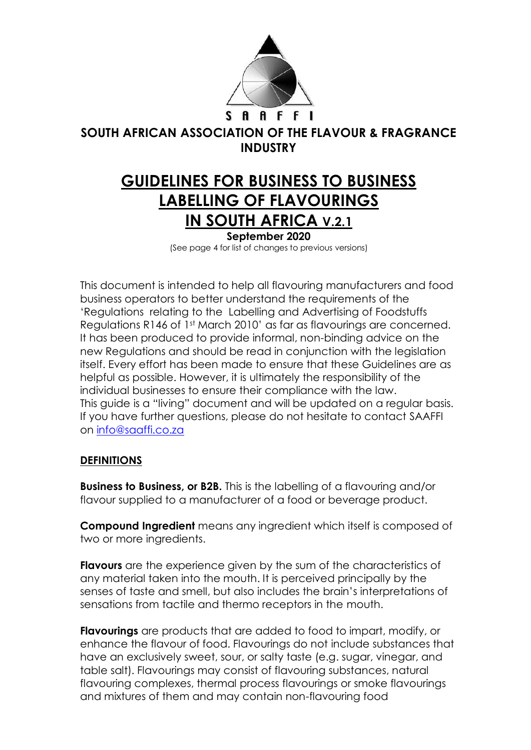

## **SOUTH AFRICAN ASSOCIATION OF THE FLAVOUR & FRAGRANCE INDUSTRY**

# **GUIDELINES FOR BUSINESS TO BUSINESS LABELLING OF FLAVOURINGS IN SOUTH AFRICA V.2.1**

**September 2020** (See page 4 for list of changes to previous versions)

This document is intended to help all flavouring manufacturers and food business operators to better understand the requirements of the 'Regulations relating to the Labelling and Advertising of Foodstuffs Regulations R146 of 1st March 2010' as far as flavourings are concerned. It has been produced to provide informal, non-binding advice on the new Regulations and should be read in conjunction with the legislation itself. Every effort has been made to ensure that these Guidelines are as helpful as possible. However, it is ultimately the responsibility of the individual businesses to ensure their compliance with the law. This guide is a "living" document and will be updated on a regular basis. If you have further questions, please do not hesitate to contact SAAFFI on [info@saaffi.co.za](mailto:info@saaffi.co.za)

## **DEFINITIONS**

**Business to Business, or B2B.** This is the labelling of a flavouring and/or flavour supplied to a manufacturer of a food or beverage product.

**Compound Ingredient** means any ingredient which itself is composed of two or more ingredients.

**Flavours** are the experience given by the sum of the characteristics of any material taken into the mouth. It is perceived principally by the senses of taste and smell, but also includes the brain's interpretations of sensations from tactile and thermo receptors in the mouth.

**Flavourings** are products that are added to food to impart, modify, or enhance the flavour of food. Flavourings do not include substances that have an exclusively sweet, sour, or salty taste (e.g. sugar, vinegar, and table salt). Flavourings may consist of flavouring substances, natural flavouring complexes, thermal process flavourings or smoke flavourings and mixtures of them and may contain non-flavouring food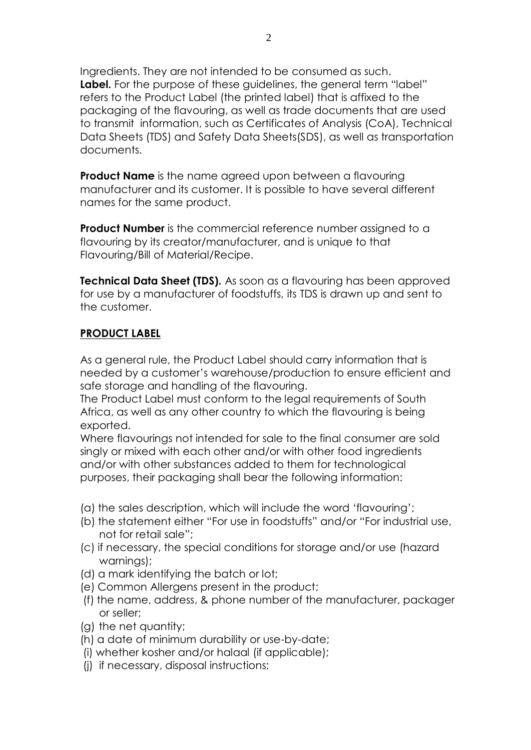Ingredients. They are not intended to be consumed as such. Label. For the purpose of these guidelines, the general term "label" refers to the Product Label (the printed label) that is affixed to the packaging of the flavouring, as well as trade documents that are used to transmit information, such as Certificates of Analysis (CoA), Technical Data Sheets (TDS) and Safety Data Sheets(SDS), as well as transportation documents.

**Product Name** is the name agreed upon between a flavouring manufacturer and its customer. It is possible to have several different names for the same product.

**Product Number** is the commercial reference number assigned to a flavouring by its creator/manufacturer, and is unique to that Flavouring/Bill of Material/Recipe.

**Technical Data Sheet (TDS).** As soon as a flavouring has been approved for use by a manufacturer of foodstuffs, its TDS is drawn up and sent to the customer.

## **PRODUCT LABEL**

As a general rule, the Product Label should carry information that is needed by a customer's warehouse/production to ensure efficient and safe storage and handling of the flavouring.

The Product Label must conform to the legal requirements of South Africa, as well as any other country to which the flavouring is being exported.

Where flavourings not intended for sale to the final consumer are sold singly or mixed with each other and/or with other food ingredients and/or with other substances added to them for technological purposes, their packaging shall bear the following information:

- (a) the sales description, which will include the word 'flavouring';
- (b) the statement either "For use in foodstuffs" and/or "For industrial use, not for retail sale";
- (c) if necessary, the special conditions for storage and/or use (hazard warnings);
- (d) a mark identifying the batch or lot;
- (e) Common Allergens present in the product;
- (f) the name, address, & phone number of the manufacturer, packager or seller;
- (g) the net quantity;
- (h) a date of minimum durability or use-by-date;
- (i) whether kosher and/or halaal (if applicable);
- (j) if necessary, disposal instructions;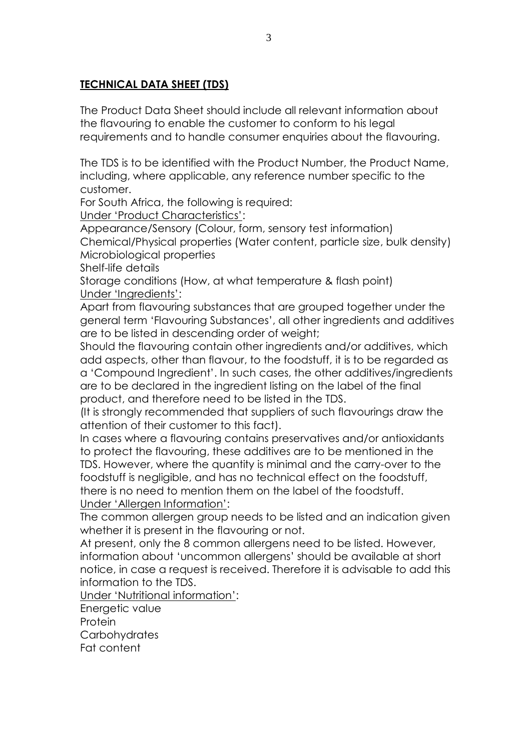## **TECHNICAL DATA SHEET (TDS)**

The Product Data Sheet should include all relevant information about the flavouring to enable the customer to conform to his legal requirements and to handle consumer enquiries about the flavouring.

The TDS is to be identified with the Product Number, the Product Name, including, where applicable, any reference number specific to the customer.

For South Africa, the following is required:

Under 'Product Characteristics':

Appearance/Sensory (Colour, form, sensory test information)

Chemical/Physical properties (Water content, particle size, bulk density) Microbiological properties

Shelf-life details

Storage conditions (How, at what temperature & flash point) Under 'Ingredients':

Apart from flavouring substances that are grouped together under the general term 'Flavouring Substances', all other ingredients and additives are to be listed in descending order of weight;

Should the flavouring contain other ingredients and/or additives, which add aspects, other than flavour, to the foodstuff, it is to be regarded as a 'Compound Ingredient'. In such cases, the other additives/ingredients are to be declared in the ingredient listing on the label of the final product, and therefore need to be listed in the TDS.

(It is strongly recommended that suppliers of such flavourings draw the attention of their customer to this fact).

In cases where a flavouring contains preservatives and/or antioxidants to protect the flavouring, these additives are to be mentioned in the TDS. However, where the quantity is minimal and the carry-over to the foodstuff is negligible, and has no technical effect on the foodstuff, there is no need to mention them on the label of the foodstuff. Under 'Allergen Information':

The common allergen group needs to be listed and an indication given whether it is present in the flavouring or not.

At present, only the 8 common allergens need to be listed. However, information about 'uncommon allergens' should be available at short notice, in case a request is received. Therefore it is advisable to add this information to the TDS.

Under 'Nutritional information':

Energetic value

Protein

Carbohydrates

Fat content